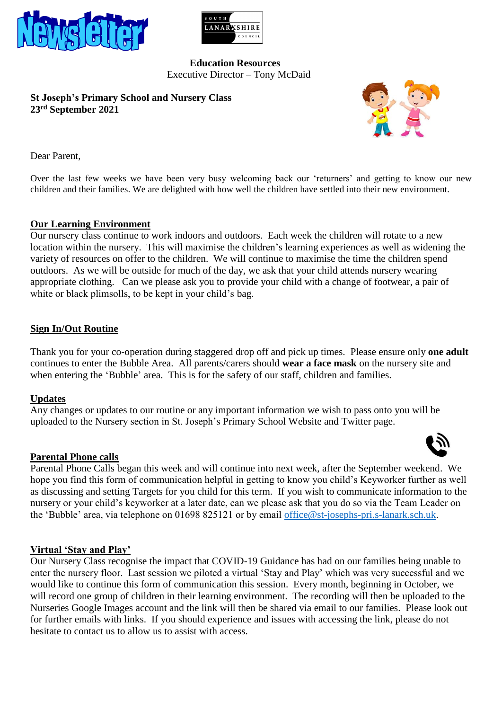



### **Education Resources** Executive Director – Tony McDaid

**St Joseph's Primary School and Nursery Class 23 rd September 2021**



Dear Parent,

Over the last few weeks we have been very busy welcoming back our 'returners' and getting to know our new children and their families. We are delighted with how well the children have settled into their new environment.

# **Our Learning Environment**

Our nursery class continue to work indoors and outdoors. Each week the children will rotate to a new location within the nursery. This will maximise the children's learning experiences as well as widening the variety of resources on offer to the children. We will continue to maximise the time the children spend outdoors. As we will be outside for much of the day, we ask that your child attends nursery wearing appropriate clothing. Can we please ask you to provide your child with a change of footwear, a pair of white or black plimsolls, to be kept in your child's bag.

# **Sign In/Out Routine**

Thank you for your co-operation during staggered drop off and pick up times. Please ensure only **one adult** continues to enter the Bubble Area. All parents/carers should **wear a face mask** on the nursery site and when entering the 'Bubble' area. This is for the safety of our staff, children and families.

#### **Updates**

Any changes or updates to our routine or any important information we wish to pass onto you will be uploaded to the Nursery section in St. Joseph's Primary School Website and Twitter page.

#### **Parental Phone calls**

Parental Phone Calls began this week and will continue into next week, after the September weekend. We hope you find this form of communication helpful in getting to know you child's Keyworker further as well as discussing and setting Targets for you child for this term. If you wish to communicate information to the nursery or your child's keyworker at a later date, can we please ask that you do so via the Team Leader on the 'Bubble' area, via telephone on 01698 825121 or by email [office@st-josephs-pri.s-lanark.sch.uk.](mailto:office@st-josephs-pri.s-lanark.sch.uk)

#### **Virtual 'Stay and Play'**

Our Nursery Class recognise the impact that COVID-19 Guidance has had on our families being unable to enter the nursery floor. Last session we piloted a virtual 'Stay and Play' which was very successful and we would like to continue this form of communication this session. Every month, beginning in October, we will record one group of children in their learning environment. The recording will then be uploaded to the Nurseries Google Images account and the link will then be shared via email to our families. Please look out for further emails with links. If you should experience and issues with accessing the link, please do not hesitate to contact us to allow us to assist with access.